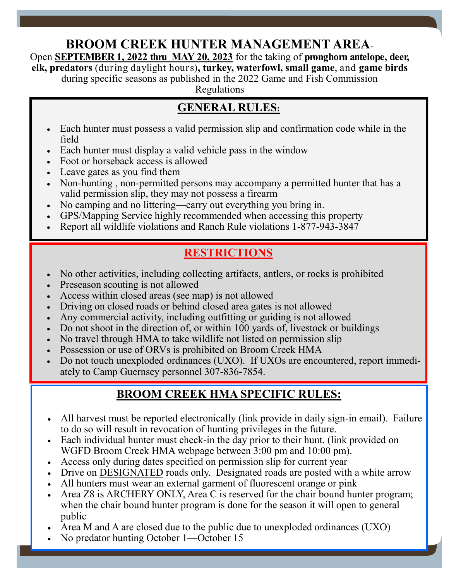# **BROOM CREEK HUNTER MANAGEMENT AREA**-

Open **SEPTEMBER 1, 2022 thru MAY 20, 2023** for the taking of **pronghorn antelope, deer, elk, predators** (during daylight hours)**, turkey, waterfowl, small game**, and **game birds**

during specific seasons as published in the 2022 Game and Fish Commission

Regulations

# **GENERAL RULES:**

- Each hunter must possess a valid permission slip and confirmation code while in the field
- Each hunter must display a valid vehicle pass in the window
- Foot or horseback access is allowed **Foot** or horseback access is allowed
	- Leave gates as you find them
	- Non-hunting, non-permitted persons may accompany a permitted hunter that has a valid permission slip, they may not possess a firearm
	- No camping and no littering—carry out everything you bring in.
	- GPS/Mapping Service highly recommended when accessing this property
	- Report all wildlife violations and Ranch Rule violations 1-877-943-3847

# **RESTRICTIONS**

- No other activities, including collecting artifacts, antlers, or rocks is prohibited
- Preseason scouting is not allowed
- Access within closed areas (see map) is not allowed
- Driving on closed roads or behind closed area gates is not allowed
- Any commercial activity, including outfitting or guiding is not allowed
- Do not shoot in the direction of, or within 100 yards of, livestock or buildings
- No travel through HMA to take wildlife not listed on permission slip
- Possession or use of ORVs is prohibited on Broom Creek HMA
- Do not touch unexploded ordinances (UXO). If UXOs are encountered, report immediately to Camp Guernsey personnel 307-836-7854.

### **BROOM CREEK HMA SPECIFIC RULES:**

- All harvest must be reported electronically (link provide in daily sign-in email). Failure to do so will result in revocation of hunting privileges in the future.
- Each individual hunter must check-in the day prior to their hunt. (link provided on WGFD Broom Creek HMA webpage between 3:00 pm and 10:00 pm).
- Access only during dates specified on permission slip for current year
- Drive on DESIGNATED roads only. Designated roads are posted with a white arrow
- All hunters must wear an external garment of fluorescent orange or pink
- Area Z8 is ARCHERY ONLY, Area C is reserved for the chair bound hunter program; when the chair bound hunter program is done for the season it will open to general public

Page 2

- Area M and A are closed due to the public due to unexploded ordinances (UXO)
- No predator hunting October 1—October 15